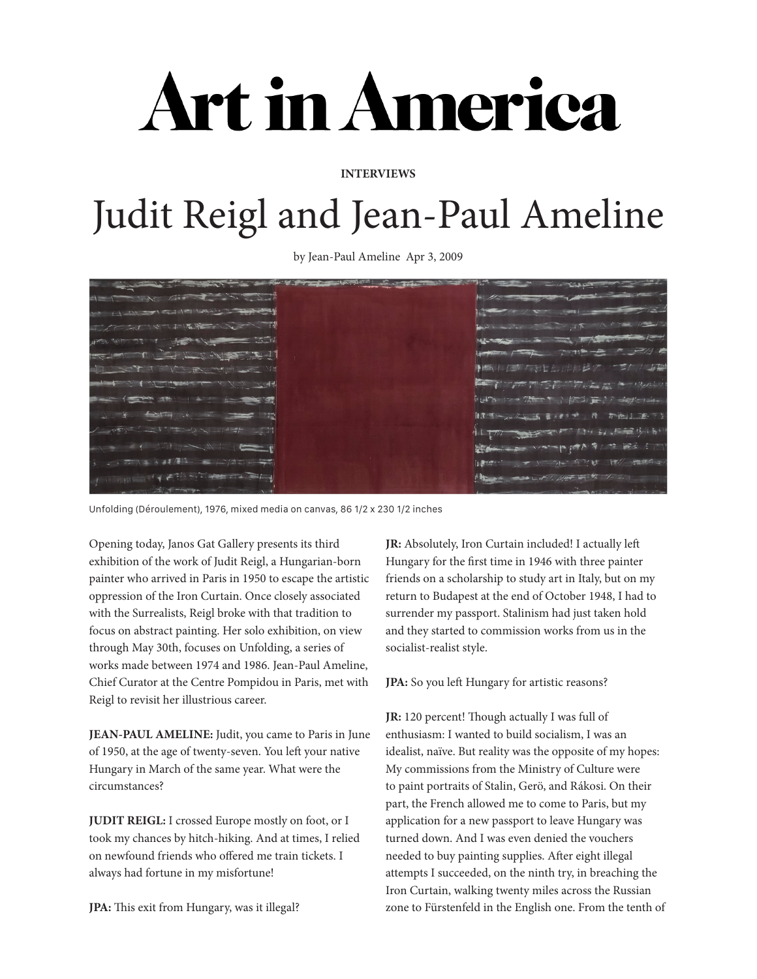# Art in America

# **INTERVIEWS**

# Judit Reigl and Jean-Paul Ameline

by Jean-Paul Ameline Apr 3, 2009

Unfolding (Déroulement), 1976, mixed media on canvas, 86 1/2 x 230 1/2 inches

Opening today, Janos Gat Gallery presents its third exhibition of the work of Judit Reigl, a Hungarian-born painter who arrived in Paris in 1950 to escape the artistic oppression of the Iron Curtain. Once closely associated with the Surrealists, Reigl broke with that tradition to focus on abstract painting. Her solo exhibition, on view through May 30th, focuses on Unfolding, a series of works made between 1974 and 1986. Jean-Paul Ameline, Chief Curator at the Centre Pompidou in Paris, met with Reigl to revisit her illustrious career.

**JEAN-PAUL AMELINE:** Judit, you came to Paris in June of 1950, at the age of twenty-seven. You left your native Hungary in March of the same year. What were the circumstances?

**JUDIT REIGL:** I crossed Europe mostly on foot, or I took my chances by hitch-hiking. And at times, I relied on newfound friends who offered me train tickets. I always had fortune in my misfortune!

**JPA:** This exit from Hungary, was it illegal?

**JR:** Absolutely, Iron Curtain included! I actually left Hungary for the first time in 1946 with three painter friends on a scholarship to study art in Italy, but on my return to Budapest at the end of October 1948, I had to surrender my passport. Stalinism had just taken hold and they started to commission works from us in the socialist-realist style.

**JPA:** So you left Hungary for artistic reasons?

**JR:** 120 percent! Though actually I was full of enthusiasm: I wanted to build socialism, I was an idealist, naïve. But reality was the opposite of my hopes: My commissions from the Ministry of Culture were to paint portraits of Stalin, Gerö, and Rákosi. On their part, the French allowed me to come to Paris, but my application for a new passport to leave Hungary was turned down. And I was even denied the vouchers needed to buy painting supplies. After eight illegal attempts I succeeded, on the ninth try, in breaching the Iron Curtain, walking twenty miles across the Russian zone to Fürstenfeld in the English one. From the tenth of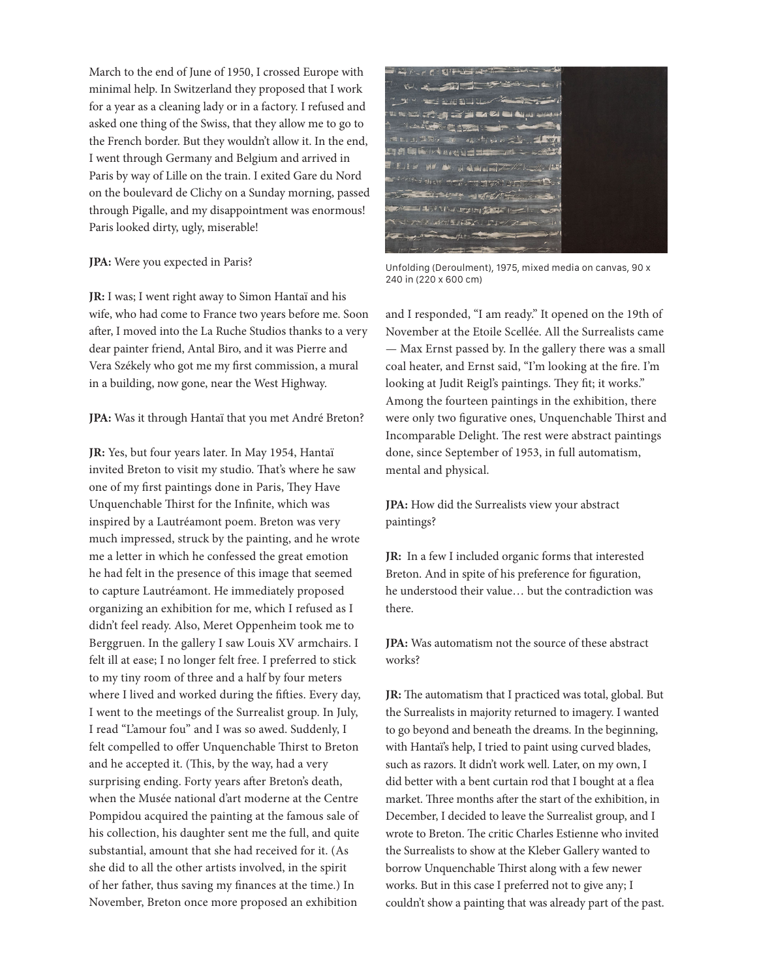March to the end of June of 1950, I crossed Europe with minimal help. In Switzerland they proposed that I work for a year as a cleaning lady or in a factory. I refused and asked one thing of the Swiss, that they allow me to go to the French border. But they wouldn't allow it. In the end, I went through Germany and Belgium and arrived in Paris by way of Lille on the train. I exited Gare du Nord on the boulevard de Clichy on a Sunday morning, passed through Pigalle, and my disappointment was enormous! Paris looked dirty, ugly, miserable!

### **JPA:** Were you expected in Paris?

**JR:** I was; I went right away to Simon Hantaï and his wife, who had come to France two years before me. Soon after, I moved into the La Ruche Studios thanks to a very dear painter friend, Antal Biro, and it was Pierre and Vera Székely who got me my first commission, a mural in a building, now gone, near the West Highway.

### **JPA:** Was it through Hantaï that you met André Breton?

**JR:** Yes, but four years later. In May 1954, Hantaï invited Breton to visit my studio. That's where he saw one of my first paintings done in Paris, They Have Unquenchable Thirst for the Infinite, which was inspired by a Lautréamont poem. Breton was very much impressed, struck by the painting, and he wrote me a letter in which he confessed the great emotion he had felt in the presence of this image that seemed to capture Lautréamont. He immediately proposed organizing an exhibition for me, which I refused as I didn't feel ready. Also, Meret Oppenheim took me to Berggruen. In the gallery I saw Louis XV armchairs. I felt ill at ease; I no longer felt free. I preferred to stick to my tiny room of three and a half by four meters where I lived and worked during the fifties. Every day, I went to the meetings of the Surrealist group. In July, I read "L'amour fou" and I was so awed. Suddenly, I felt compelled to offer Unquenchable Thirst to Breton and he accepted it. (This, by the way, had a very surprising ending. Forty years after Breton's death, when the Musée national d'art moderne at the Centre Pompidou acquired the painting at the famous sale of his collection, his daughter sent me the full, and quite substantial, amount that she had received for it. (As she did to all the other artists involved, in the spirit of her father, thus saving my finances at the time.) In November, Breton once more proposed an exhibition

 $-1$ 20 20 20 21 22 23 24 25 25 25 25 **DARA ANG HELEN** NATIONS **WELFINGTON** 

Unfolding (Deroulment), 1975, mixed media on canvas, 90 x 240 in (220 x 600 cm)

and I responded, "I am ready." It opened on the 19th of November at the Etoile Scellée. All the Surrealists came — Max Ernst passed by. In the gallery there was a small coal heater, and Ernst said, "I'm looking at the fire. I'm looking at Judit Reigl's paintings. They fit; it works." Among the fourteen paintings in the exhibition, there were only two figurative ones, Unquenchable Thirst and Incomparable Delight. The rest were abstract paintings done, since September of 1953, in full automatism, mental and physical.

**JPA:** How did the Surrealists view your abstract paintings?

**JR:** In a few I included organic forms that interested Breton. And in spite of his preference for figuration, he understood their value… but the contradiction was there.

**JPA:** Was automatism not the source of these abstract works?

**JR:** The automatism that I practiced was total, global. But the Surrealists in majority returned to imagery. I wanted to go beyond and beneath the dreams. In the beginning, with Hantaï's help, I tried to paint using curved blades, such as razors. It didn't work well. Later, on my own, I did better with a bent curtain rod that I bought at a flea market. Three months after the start of the exhibition, in December, I decided to leave the Surrealist group, and I wrote to Breton. The critic Charles Estienne who invited the Surrealists to show at the Kleber Gallery wanted to borrow Unquenchable Thirst along with a few newer works. But in this case I preferred not to give any; I couldn't show a painting that was already part of the past.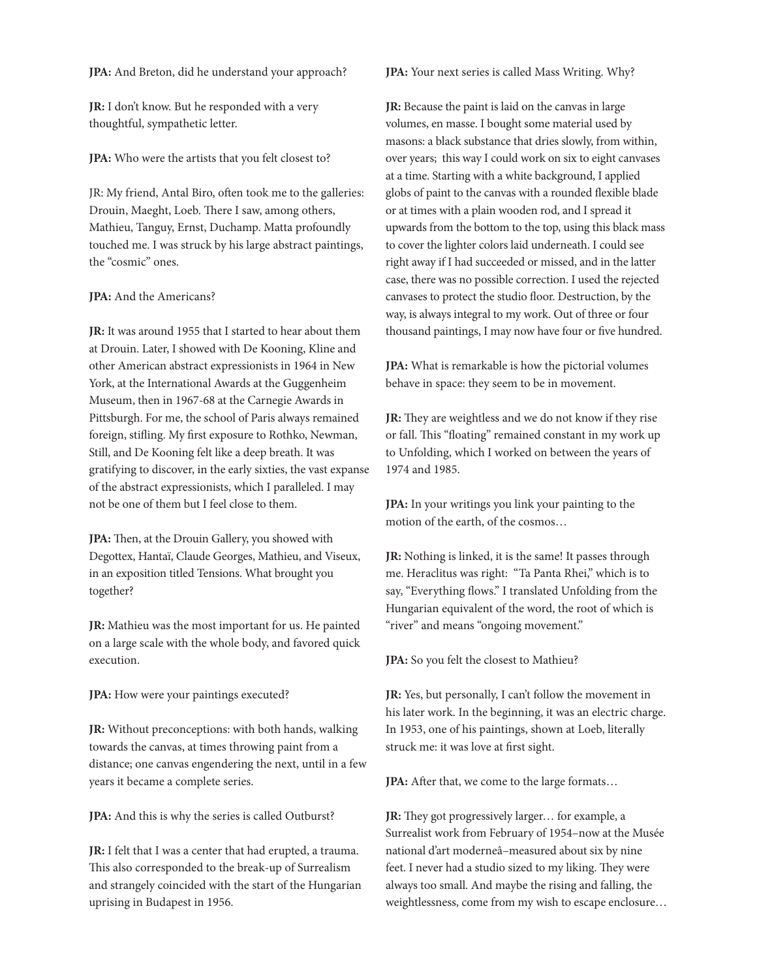**JPA:** And Breton, did he understand your approach?

**JR:** I don't know. But he responded with a very thoughtful, sympathetic letter.

**JPA:** Who were the artists that you felt closest to?

JR: My friend, Antal Biro, often took me to the galleries: Drouin, Maeght, Loeb. There I saw, among others, Mathieu, Tanguy, Ernst, Duchamp. Matta profoundly touched me. I was struck by his large abstract paintings, the "cosmic" ones.

# **JPA:** And the Americans?

**JR:** It was around 1955 that I started to hear about them at Drouin. Later, I showed with De Kooning, Kline and other American abstract expressionists in 1964 in New York, at the International Awards at the Guggenheim Museum, then in 1967-68 at the Carnegie Awards in Pittsburgh. For me, the school of Paris always remained foreign, stifling. My first exposure to Rothko, Newman, Still, and De Kooning felt like a deep breath. It was gratifying to discover, in the early sixties, the vast expanse of the abstract expressionists, which I paralleled. I may not be one of them but I feel close to them.

**JPA:** Then, at the Drouin Gallery, you showed with Degottex, Hantaï, Claude Georges, Mathieu, and Viseux, in an exposition titled Tensions. What brought you together?

**JR:** Mathieu was the most important for us. He painted on a large scale with the whole body, and favored quick execution.

**JPA:** How were your paintings executed?

**JR:** Without preconceptions: with both hands, walking towards the canvas, at times throwing paint from a distance; one canvas engendering the next, until in a few years it became a complete series.

**JPA:** And this is why the series is called Outburst?

**JR:** I felt that I was a center that had erupted, a trauma. This also corresponded to the break-up of Surrealism and strangely coincided with the start of the Hungarian uprising in Budapest in 1956.

**JPA:** Your next series is called Mass Writing. Why?

**JR:** Because the paint is laid on the canvas in large volumes, en masse. I bought some material used by masons: a black substance that dries slowly, from within, over years; this way I could work on six to eight canvases at a time. Starting with a white background, I applied globs of paint to the canvas with a rounded flexible blade or at times with a plain wooden rod, and I spread it upwards from the bottom to the top, using this black mass to cover the lighter colors laid underneath. I could see right away if I had succeeded or missed, and in the latter case, there was no possible correction. I used the rejected canvases to protect the studio floor. Destruction, by the way, is always integral to my work. Out of three or four thousand paintings, I may now have four or five hundred.

**JPA:** What is remarkable is how the pictorial volumes behave in space: they seem to be in movement.

**JR:** They are weightless and we do not know if they rise or fall. This "floating" remained constant in my work up to Unfolding, which I worked on between the years of 1974 and 1985.

**JPA:** In your writings you link your painting to the motion of the earth, of the cosmos…

**JR:** Nothing is linked, it is the same! It passes through me. Heraclitus was right: "Ta Panta Rhei," which is to say, "Everything flows." I translated Unfolding from the Hungarian equivalent of the word, the root of which is "river" and means "ongoing movement."

**JPA:** So you felt the closest to Mathieu?

**JR:** Yes, but personally, I can't follow the movement in his later work. In the beginning, it was an electric charge. In 1953, one of his paintings, shown at Loeb, literally struck me: it was love at first sight.

**JPA:** After that, we come to the large formats…

**JR:** They got progressively larger… for example, a Surrealist work from February of 1954–now at the Musée national d'art moderneâ–measured about six by nine feet. I never had a studio sized to my liking. They were always too small. And maybe the rising and falling, the weightlessness, come from my wish to escape enclosure…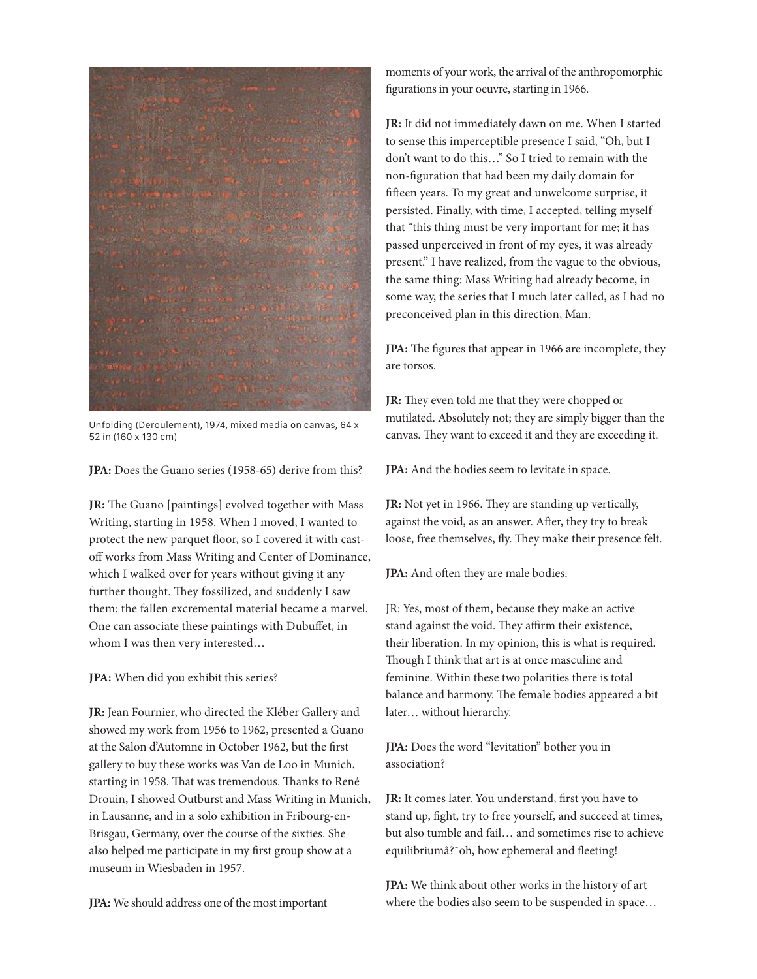Unfolding (Deroulement), 1974, mixed media on canvas, 64 x 52 in (160 x 130 cm)

**JPA:** Does the Guano series (1958-65) derive from this?

**JR:** The Guano [paintings] evolved together with Mass Writing, starting in 1958. When I moved, I wanted to protect the new parquet floor, so I covered it with castoff works from Mass Writing and Center of Dominance, which I walked over for years without giving it any further thought. They fossilized, and suddenly I saw them: the fallen excremental material became a marvel. One can associate these paintings with Dubuffet, in whom I was then very interested…

**JPA:** When did you exhibit this series?

**JR:** Jean Fournier, who directed the Kléber Gallery and showed my work from 1956 to 1962, presented a Guano at the Salon d'Automne in October 1962, but the first gallery to buy these works was Van de Loo in Munich, starting in 1958. That was tremendous. Thanks to René Drouin, I showed Outburst and Mass Writing in Munich, in Lausanne, and in a solo exhibition in Fribourg-en-Brisgau, Germany, over the course of the sixties. She also helped me participate in my first group show at a museum in Wiesbaden in 1957.

**JPA:** We should address one of the most important

moments of your work, the arrival of the anthropomorphic figurations in your oeuvre, starting in 1966.

**JR:** It did not immediately dawn on me. When I started to sense this imperceptible presence I said, "Oh, but I don't want to do this…" So I tried to remain with the non-figuration that had been my daily domain for fifteen years. To my great and unwelcome surprise, it persisted. Finally, with time, I accepted, telling myself that "this thing must be very important for me; it has passed unperceived in front of my eyes, it was already present." I have realized, from the vague to the obvious, the same thing: Mass Writing had already become, in some way, the series that I much later called, as I had no preconceived plan in this direction, Man.

**JPA:** The figures that appear in 1966 are incomplete, they are torsos.

**JR:** They even told me that they were chopped or mutilated. Absolutely not; they are simply bigger than the canvas. They want to exceed it and they are exceeding it.

**JPA:** And the bodies seem to levitate in space.

**JR:** Not yet in 1966. They are standing up vertically, against the void, as an answer. After, they try to break loose, free themselves, fly. They make their presence felt.

**JPA:** And often they are male bodies.

JR: Yes, most of them, because they make an active stand against the void. They affirm their existence, their liberation. In my opinion, this is what is required. Though I think that art is at once masculine and feminine. Within these two polarities there is total balance and harmony. The female bodies appeared a bit later… without hierarchy.

**JPA:** Does the word "levitation" bother you in association?

**JR:** It comes later. You understand, first you have to stand up, fight, try to free yourself, and succeed at times, but also tumble and fail… and sometimes rise to achieve equilibriumâ?¯oh, how ephemeral and fleeting!

**JPA:** We think about other works in the history of art where the bodies also seem to be suspended in space…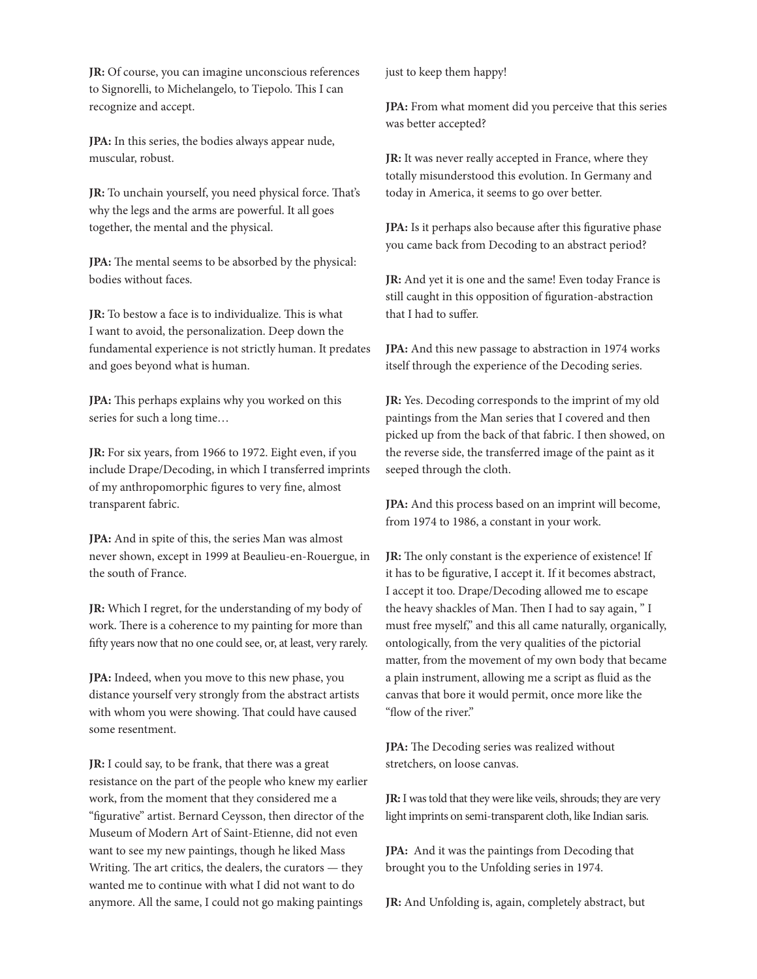**JR:** Of course, you can imagine unconscious references to Signorelli, to Michelangelo, to Tiepolo. This I can recognize and accept.

**JPA:** In this series, the bodies always appear nude, muscular, robust.

**JR:** To unchain yourself, you need physical force. That's why the legs and the arms are powerful. It all goes together, the mental and the physical.

**JPA:** The mental seems to be absorbed by the physical: bodies without faces.

**JR:** To bestow a face is to individualize. This is what I want to avoid, the personalization. Deep down the fundamental experience is not strictly human. It predates and goes beyond what is human.

**JPA:** This perhaps explains why you worked on this series for such a long time…

**JR:** For six years, from 1966 to 1972. Eight even, if you include Drape/Decoding, in which I transferred imprints of my anthropomorphic figures to very fine, almost transparent fabric.

**JPA:** And in spite of this, the series Man was almost never shown, except in 1999 at Beaulieu-en-Rouergue, in the south of France.

**JR:** Which I regret, for the understanding of my body of work. There is a coherence to my painting for more than fifty years now that no one could see, or, at least, very rarely.

**JPA:** Indeed, when you move to this new phase, you distance yourself very strongly from the abstract artists with whom you were showing. That could have caused some resentment.

**JR:** I could say, to be frank, that there was a great resistance on the part of the people who knew my earlier work, from the moment that they considered me a "figurative" artist. Bernard Ceysson, then director of the Museum of Modern Art of Saint-Etienne, did not even want to see my new paintings, though he liked Mass Writing. The art critics, the dealers, the curators — they wanted me to continue with what I did not want to do anymore. All the same, I could not go making paintings

just to keep them happy!

**JPA:** From what moment did you perceive that this series was better accepted?

**JR:** It was never really accepted in France, where they totally misunderstood this evolution. In Germany and today in America, it seems to go over better.

**JPA:** Is it perhaps also because after this figurative phase you came back from Decoding to an abstract period?

**JR:** And yet it is one and the same! Even today France is still caught in this opposition of figuration-abstraction that I had to suffer.

**JPA:** And this new passage to abstraction in 1974 works itself through the experience of the Decoding series.

**JR:** Yes. Decoding corresponds to the imprint of my old paintings from the Man series that I covered and then picked up from the back of that fabric. I then showed, on the reverse side, the transferred image of the paint as it seeped through the cloth.

**JPA:** And this process based on an imprint will become, from 1974 to 1986, a constant in your work.

**JR:** The only constant is the experience of existence! If it has to be figurative, I accept it. If it becomes abstract, I accept it too. Drape/Decoding allowed me to escape the heavy shackles of Man. Then I had to say again, " I must free myself," and this all came naturally, organically, ontologically, from the very qualities of the pictorial matter, from the movement of my own body that became a plain instrument, allowing me a script as fluid as the canvas that bore it would permit, once more like the "flow of the river."

**JPA:** The Decoding series was realized without stretchers, on loose canvas.

**JR:** I was told that they were like veils, shrouds; they are very light imprints on semi-transparent cloth, like Indian saris.

**JPA:** And it was the paintings from Decoding that brought you to the Unfolding series in 1974.

**JR:** And Unfolding is, again, completely abstract, but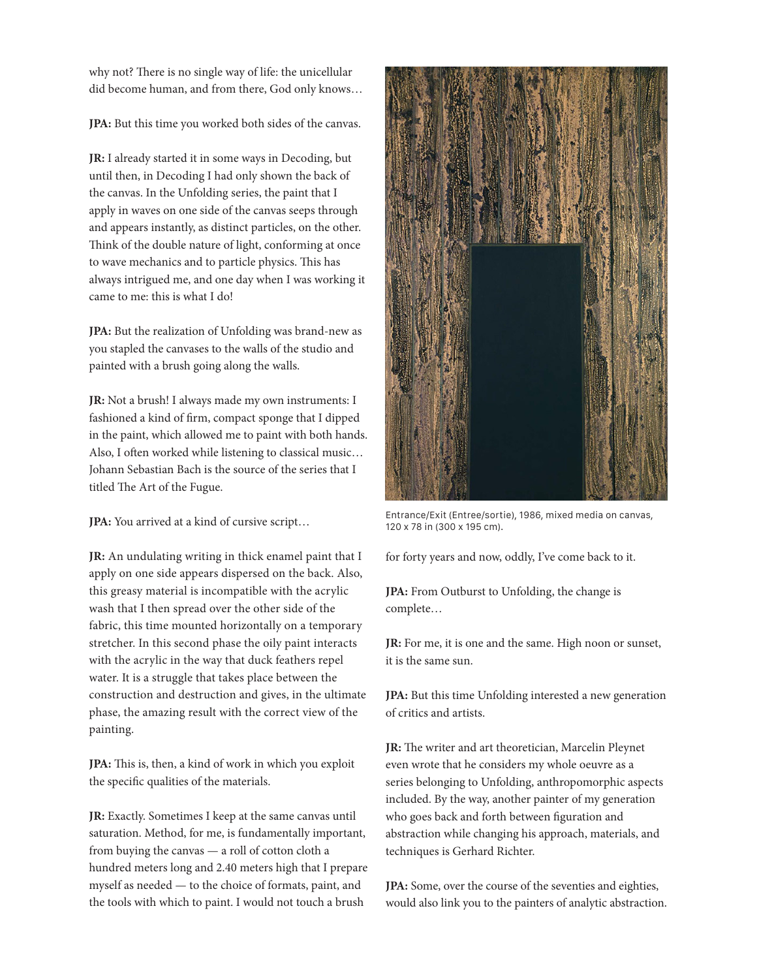why not? There is no single way of life: the unicellular did become human, and from there, God only knows…

**JPA:** But this time you worked both sides of the canvas.

**JR:** I already started it in some ways in Decoding, but until then, in Decoding I had only shown the back of the canvas. In the Unfolding series, the paint that I apply in waves on one side of the canvas seeps through and appears instantly, as distinct particles, on the other. Think of the double nature of light, conforming at once to wave mechanics and to particle physics. This has always intrigued me, and one day when I was working it came to me: this is what I do!

**JPA:** But the realization of Unfolding was brand-new as you stapled the canvases to the walls of the studio and painted with a brush going along the walls.

**JR:** Not a brush! I always made my own instruments: I fashioned a kind of firm, compact sponge that I dipped in the paint, which allowed me to paint with both hands. Also, I often worked while listening to classical music… Johann Sebastian Bach is the source of the series that I titled The Art of the Fugue.

**JPA:** You arrived at a kind of cursive script…

**JR:** An undulating writing in thick enamel paint that I apply on one side appears dispersed on the back. Also, this greasy material is incompatible with the acrylic wash that I then spread over the other side of the fabric, this time mounted horizontally on a temporary stretcher. In this second phase the oily paint interacts with the acrylic in the way that duck feathers repel water. It is a struggle that takes place between the construction and destruction and gives, in the ultimate phase, the amazing result with the correct view of the painting.

**JPA:** This is, then, a kind of work in which you exploit the specific qualities of the materials.

**JR:** Exactly. Sometimes I keep at the same canvas until saturation. Method, for me, is fundamentally important, from buying the canvas — a roll of cotton cloth a hundred meters long and 2.40 meters high that I prepare myself as needed — to the choice of formats, paint, and the tools with which to paint. I would not touch a brush



Entrance/Exit (Entree/sortie), 1986, mixed media on canvas, 120 x 78 in (300 x 195 cm).

for forty years and now, oddly, I've come back to it.

**JPA:** From Outburst to Unfolding, the change is complete…

**JR:** For me, it is one and the same. High noon or sunset, it is the same sun.

**JPA:** But this time Unfolding interested a new generation of critics and artists.

**JR:** The writer and art theoretician, Marcelin Pleynet even wrote that he considers my whole oeuvre as a series belonging to Unfolding, anthropomorphic aspects included. By the way, another painter of my generation who goes back and forth between figuration and abstraction while changing his approach, materials, and techniques is Gerhard Richter.

**JPA:** Some, over the course of the seventies and eighties, would also link you to the painters of analytic abstraction.